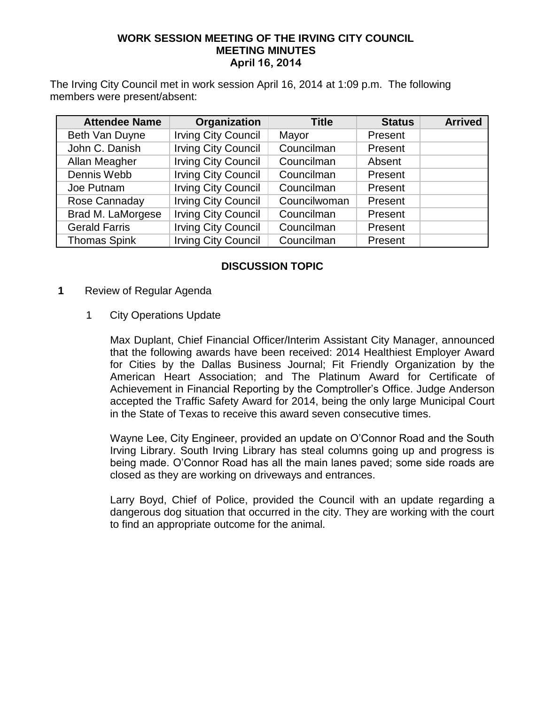#### **WORK SESSION MEETING OF THE IRVING CITY COUNCIL MEETING MINUTES April 16, 2014**

The Irving City Council met in work session April 16, 2014 at 1:09 p.m. The following members were present/absent:

| <b>Attendee Name</b> | Organization               | <b>Title</b> | <b>Status</b> | <b>Arrived</b> |
|----------------------|----------------------------|--------------|---------------|----------------|
| Beth Van Duyne       | <b>Irving City Council</b> | Mayor        | Present       |                |
| John C. Danish       | <b>Irving City Council</b> | Councilman   | Present       |                |
| Allan Meagher        | <b>Irving City Council</b> | Councilman   | Absent        |                |
| Dennis Webb          | <b>Irving City Council</b> | Councilman   | Present       |                |
| Joe Putnam           | <b>Irving City Council</b> | Councilman   | Present       |                |
| Rose Cannaday        | <b>Irving City Council</b> | Councilwoman | Present       |                |
| Brad M. LaMorgese    | <b>Irving City Council</b> | Councilman   | Present       |                |
| <b>Gerald Farris</b> | <b>Irving City Council</b> | Councilman   | Present       |                |
| <b>Thomas Spink</b>  | <b>Irving City Council</b> | Councilman   | Present       |                |

## **DISCUSSION TOPIC**

- **1** Review of Regular Agenda
	- 1 City Operations Update

Max Duplant, Chief Financial Officer/Interim Assistant City Manager, announced that the following awards have been received: 2014 Healthiest Employer Award for Cities by the Dallas Business Journal; Fit Friendly Organization by the American Heart Association; and The Platinum Award for Certificate of Achievement in Financial Reporting by the Comptroller's Office. Judge Anderson accepted the Traffic Safety Award for 2014, being the only large Municipal Court in the State of Texas to receive this award seven consecutive times.

Wayne Lee, City Engineer, provided an update on O'Connor Road and the South Irving Library. South Irving Library has steal columns going up and progress is being made. O'Connor Road has all the main lanes paved; some side roads are closed as they are working on driveways and entrances.

Larry Boyd, Chief of Police, provided the Council with an update regarding a dangerous dog situation that occurred in the city. They are working with the court to find an appropriate outcome for the animal.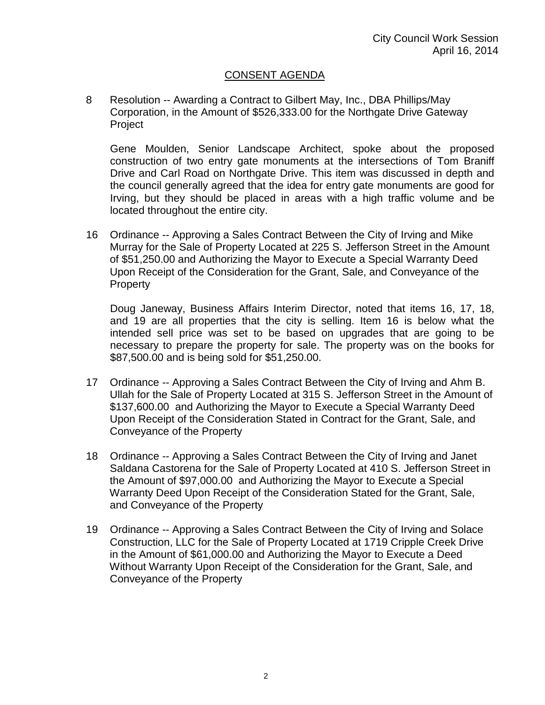# CONSENT AGENDA

8 Resolution -- Awarding a Contract to Gilbert May, Inc., DBA Phillips/May Corporation, in the Amount of \$526,333.00 for the Northgate Drive Gateway Project

Gene Moulden, Senior Landscape Architect, spoke about the proposed construction of two entry gate monuments at the intersections of Tom Braniff Drive and Carl Road on Northgate Drive. This item was discussed in depth and the council generally agreed that the idea for entry gate monuments are good for Irving, but they should be placed in areas with a high traffic volume and be located throughout the entire city.

16 Ordinance -- Approving a Sales Contract Between the City of Irving and Mike Murray for the Sale of Property Located at 225 S. Jefferson Street in the Amount of \$51,250.00 and Authorizing the Mayor to Execute a Special Warranty Deed Upon Receipt of the Consideration for the Grant, Sale, and Conveyance of the **Property** 

Doug Janeway, Business Affairs Interim Director, noted that items 16, 17, 18, and 19 are all properties that the city is selling. Item 16 is below what the intended sell price was set to be based on upgrades that are going to be necessary to prepare the property for sale. The property was on the books for \$87,500.00 and is being sold for \$51,250.00.

- 17 Ordinance -- Approving a Sales Contract Between the City of Irving and Ahm B. Ullah for the Sale of Property Located at 315 S. Jefferson Street in the Amount of \$137,600.00 and Authorizing the Mayor to Execute a Special Warranty Deed Upon Receipt of the Consideration Stated in Contract for the Grant, Sale, and Conveyance of the Property
- 18 Ordinance -- Approving a Sales Contract Between the City of Irving and Janet Saldana Castorena for the Sale of Property Located at 410 S. Jefferson Street in the Amount of \$97,000.00 and Authorizing the Mayor to Execute a Special Warranty Deed Upon Receipt of the Consideration Stated for the Grant, Sale, and Conveyance of the Property
- 19 Ordinance -- Approving a Sales Contract Between the City of Irving and Solace Construction, LLC for the Sale of Property Located at 1719 Cripple Creek Drive in the Amount of \$61,000.00 and Authorizing the Mayor to Execute a Deed Without Warranty Upon Receipt of the Consideration for the Grant, Sale, and Conveyance of the Property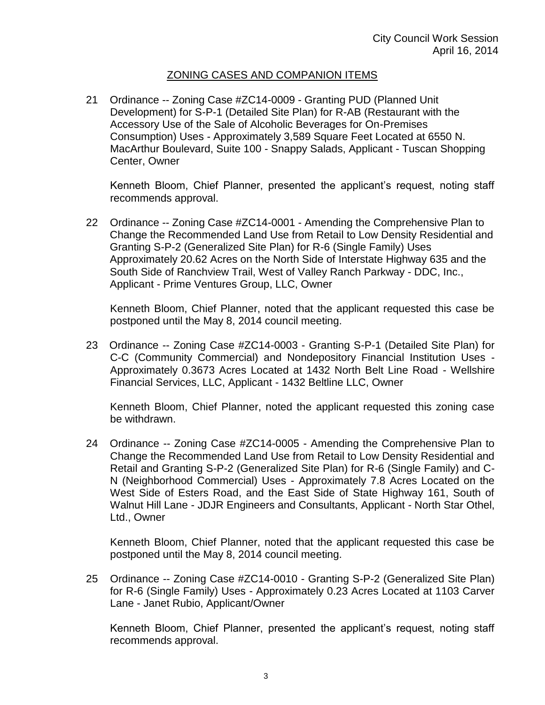## ZONING CASES AND COMPANION ITEMS

21 Ordinance -- Zoning Case #ZC14-0009 - Granting PUD (Planned Unit Development) for S-P-1 (Detailed Site Plan) for R-AB (Restaurant with the Accessory Use of the Sale of Alcoholic Beverages for On-Premises Consumption) Uses - Approximately 3,589 Square Feet Located at 6550 N. MacArthur Boulevard, Suite 100 - Snappy Salads, Applicant - Tuscan Shopping Center, Owner

Kenneth Bloom, Chief Planner, presented the applicant's request, noting staff recommends approval.

22 Ordinance -- Zoning Case #ZC14-0001 - Amending the Comprehensive Plan to Change the Recommended Land Use from Retail to Low Density Residential and Granting S-P-2 (Generalized Site Plan) for R-6 (Single Family) Uses Approximately 20.62 Acres on the North Side of Interstate Highway 635 and the South Side of Ranchview Trail, West of Valley Ranch Parkway - DDC, Inc., Applicant - Prime Ventures Group, LLC, Owner

Kenneth Bloom, Chief Planner, noted that the applicant requested this case be postponed until the May 8, 2014 council meeting.

23 Ordinance -- Zoning Case #ZC14-0003 - Granting S-P-1 (Detailed Site Plan) for C-C (Community Commercial) and Nondepository Financial Institution Uses - Approximately 0.3673 Acres Located at 1432 North Belt Line Road - Wellshire Financial Services, LLC, Applicant - 1432 Beltline LLC, Owner

Kenneth Bloom, Chief Planner, noted the applicant requested this zoning case be withdrawn.

24 Ordinance -- Zoning Case #ZC14-0005 - Amending the Comprehensive Plan to Change the Recommended Land Use from Retail to Low Density Residential and Retail and Granting S-P-2 (Generalized Site Plan) for R-6 (Single Family) and C-N (Neighborhood Commercial) Uses - Approximately 7.8 Acres Located on the West Side of Esters Road, and the East Side of State Highway 161, South of Walnut Hill Lane - JDJR Engineers and Consultants, Applicant - North Star Othel, Ltd., Owner

Kenneth Bloom, Chief Planner, noted that the applicant requested this case be postponed until the May 8, 2014 council meeting.

25 Ordinance -- Zoning Case #ZC14-0010 - Granting S-P-2 (Generalized Site Plan) for R-6 (Single Family) Uses - Approximately 0.23 Acres Located at 1103 Carver Lane - Janet Rubio, Applicant/Owner

Kenneth Bloom, Chief Planner, presented the applicant's request, noting staff recommends approval.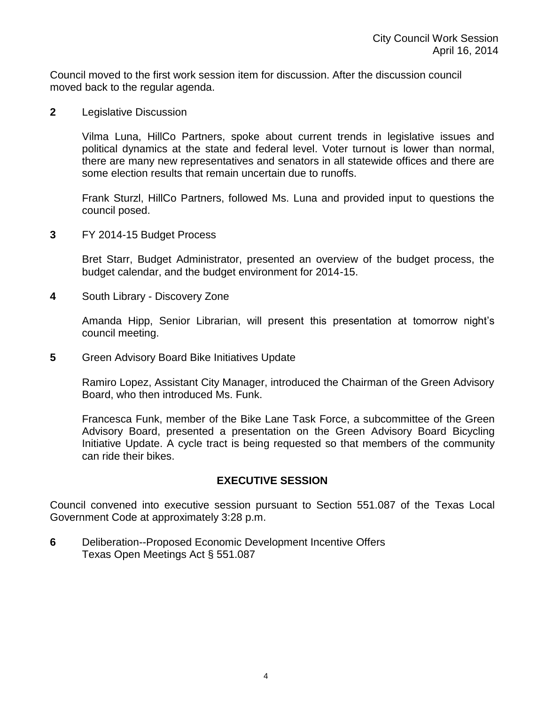Council moved to the first work session item for discussion. After the discussion council moved back to the regular agenda.

**2** Legislative Discussion

Vilma Luna, HillCo Partners, spoke about current trends in legislative issues and political dynamics at the state and federal level. Voter turnout is lower than normal, there are many new representatives and senators in all statewide offices and there are some election results that remain uncertain due to runoffs.

Frank Sturzl, HillCo Partners, followed Ms. Luna and provided input to questions the council posed.

**3** FY 2014-15 Budget Process

Bret Starr, Budget Administrator, presented an overview of the budget process, the budget calendar, and the budget environment for 2014-15.

**4** South Library - Discovery Zone

Amanda Hipp, Senior Librarian, will present this presentation at tomorrow night's council meeting.

**5** Green Advisory Board Bike Initiatives Update

Ramiro Lopez, Assistant City Manager, introduced the Chairman of the Green Advisory Board, who then introduced Ms. Funk.

Francesca Funk, member of the Bike Lane Task Force, a subcommittee of the Green Advisory Board, presented a presentation on the Green Advisory Board Bicycling Initiative Update. A cycle tract is being requested so that members of the community can ride their bikes.

## **EXECUTIVE SESSION**

Council convened into executive session pursuant to Section 551.087 of the Texas Local Government Code at approximately 3:28 p.m.

**6** Deliberation--Proposed Economic Development Incentive Offers Texas Open Meetings Act § 551.087